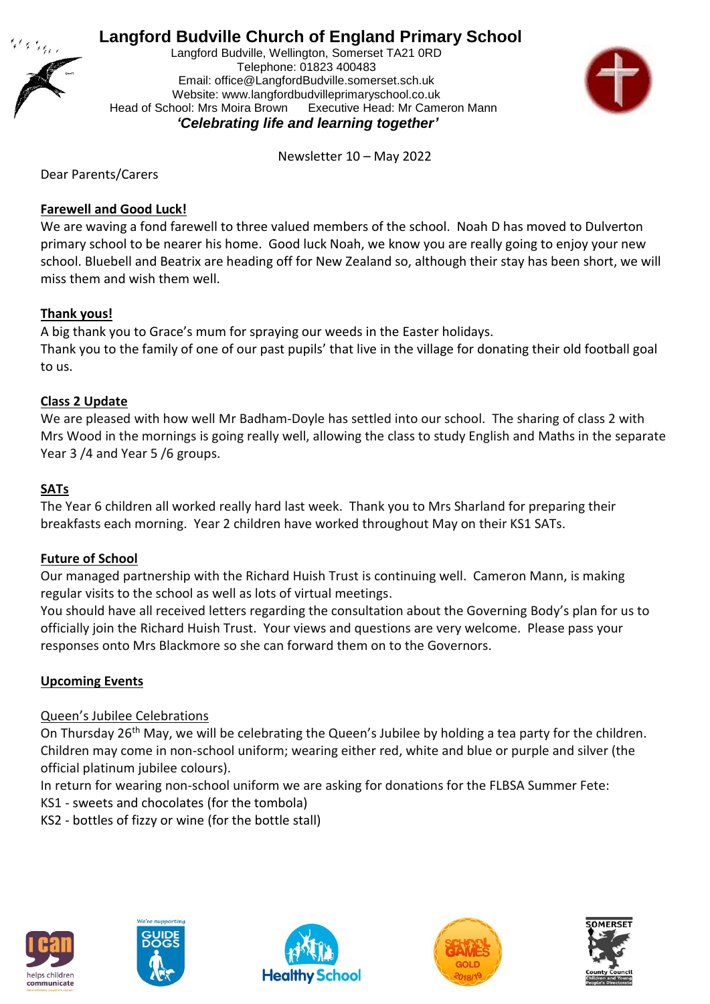

# **Langford Budville Church of England Primary School**

Langford Budville, Wellington, Somerset TA21 0RD Telephone: 01823 400483 Email: office@LangfordBudville.somerset.sch.uk Website: www.langfordbudvilleprimaryschool.co.uk Head of School: Mrs Moira Brown Executive Head: Mr Cameron Mann  *'Celebrating life and learning together'*



Newsletter 10 – May 2022

Dear Parents/Carers

## **Farewell and Good Luck!**

We are waving a fond farewell to three valued members of the school. Noah D has moved to Dulverton primary school to be nearer his home. Good luck Noah, we know you are really going to enjoy your new school. Bluebell and Beatrix are heading off for New Zealand so, although their stay has been short, we will miss them and wish them well.

## **Thank yous!**

A big thank you to Grace's mum for spraying our weeds in the Easter holidays. Thank you to the family of one of our past pupils' that live in the village for donating their old football goal to us.

## **Class 2 Update**

We are pleased with how well Mr Badham-Doyle has settled into our school. The sharing of class 2 with Mrs Wood in the mornings is going really well, allowing the class to study English and Maths in the separate Year 3 /4 and Year 5 /6 groups.

## **SATs**

The Year 6 children all worked really hard last week. Thank you to Mrs Sharland for preparing their breakfasts each morning. Year 2 children have worked throughout May on their KS1 SATs.

#### **Future of School**

Our managed partnership with the Richard Huish Trust is continuing well. Cameron Mann, is making regular visits to the school as well as lots of virtual meetings.

You should have all received letters regarding the consultation about the Governing Body's plan for us to officially join the Richard Huish Trust. Your views and questions are very welcome. Please pass your responses onto Mrs Blackmore so she can forward them on to the Governors.

#### **Upcoming Events**

#### Queen's Jubilee Celebrations

On Thursday 26<sup>th</sup> May, we will be celebrating the Queen's Jubilee by holding a tea party for the children. Children may come in non-school uniform; wearing either red, white and blue or purple and silver (the official platinum jubilee colours).

In return for wearing non-school uniform we are asking for donations for the FLBSA Summer Fete:

KS1 - sweets and chocolates (for the tombola)

KS2 - bottles of fizzy or wine (for the bottle stall)









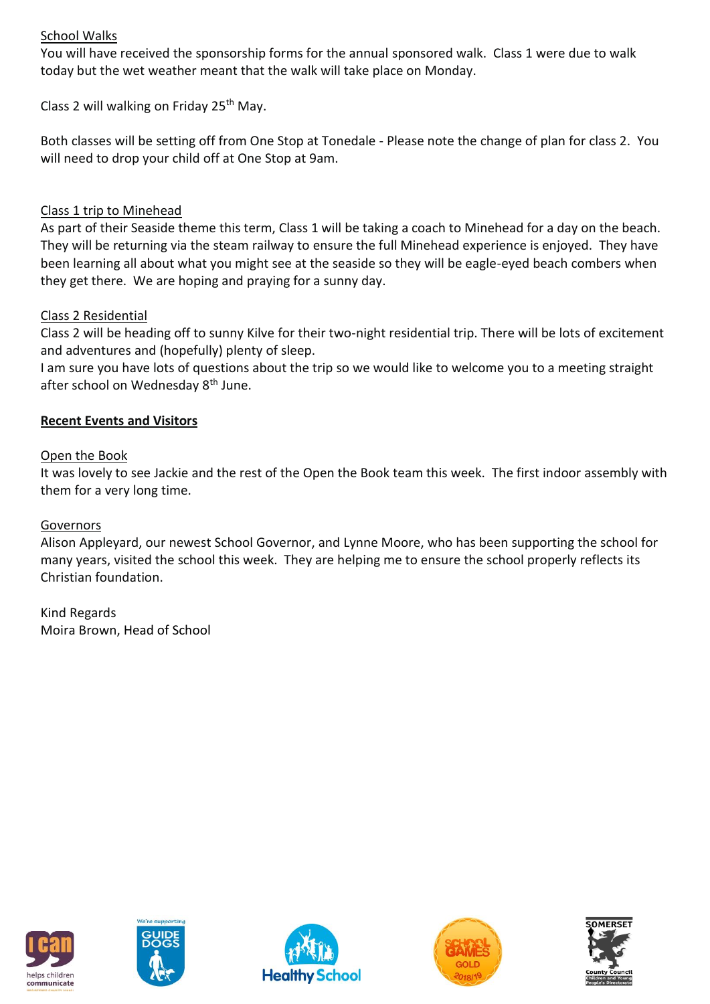# School Walks

You will have received the sponsorship forms for the annual sponsored walk. Class 1 were due to walk today but the wet weather meant that the walk will take place on Monday.

Class 2 will walking on Friday 25th May.

Both classes will be setting off from One Stop at Tonedale - Please note the change of plan for class 2. You will need to drop your child off at One Stop at 9am.

# Class 1 trip to Minehead

As part of their Seaside theme this term, Class 1 will be taking a coach to Minehead for a day on the beach. They will be returning via the steam railway to ensure the full Minehead experience is enjoyed. They have been learning all about what you might see at the seaside so they will be eagle-eyed beach combers when they get there. We are hoping and praying for a sunny day.

# Class 2 Residential

Class 2 will be heading off to sunny Kilve for their two-night residential trip. There will be lots of excitement and adventures and (hopefully) plenty of sleep.

I am sure you have lots of questions about the trip so we would like to welcome you to a meeting straight after school on Wednesday 8<sup>th</sup> June.

# **Recent Events and Visitors**

## Open the Book

It was lovely to see Jackie and the rest of the Open the Book team this week. The first indoor assembly with them for a very long time.

#### Governors

Alison Appleyard, our newest School Governor, and Lynne Moore, who has been supporting the school for many years, visited the school this week. They are helping me to ensure the school properly reflects its Christian foundation.

Kind Regards Moira Brown, Head of School